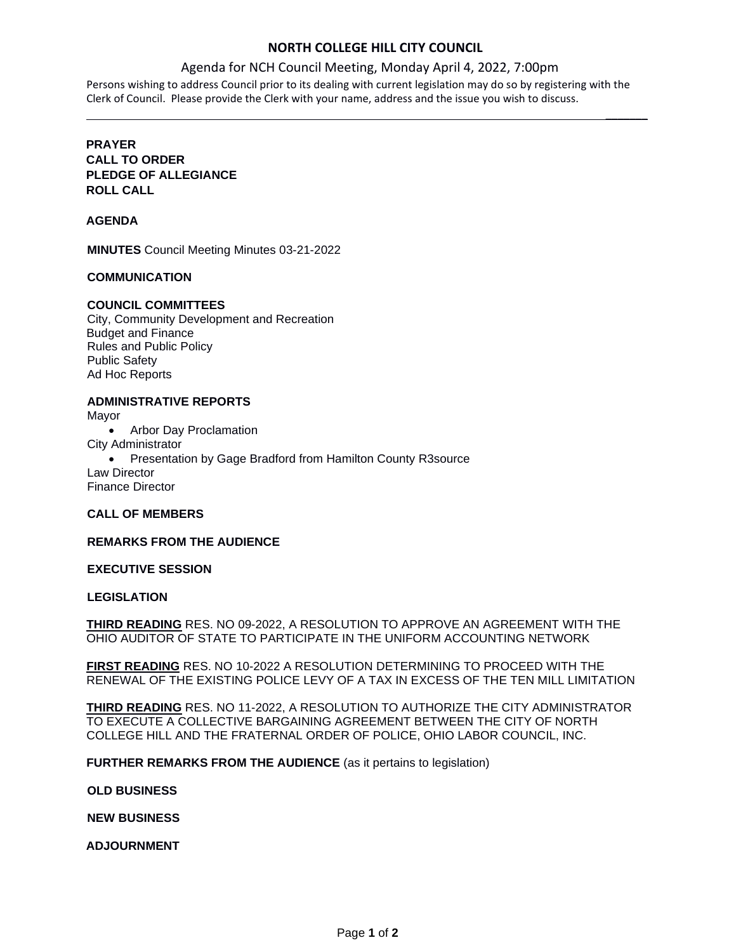## **NORTH COLLEGE HILL CITY COUNCIL**

## Agenda for NCH Council Meeting, Monday April 4, 2022, 7:00pm

 $\mathcal{L}$ 

Persons wishing to address Council prior to its dealing with current legislation may do so by registering with the Clerk of Council. Please provide the Clerk with your name, address and the issue you wish to discuss.

## **PRAYER CALL TO ORDER PLEDGE OF ALLEGIANCE ROLL CALL**

### **AGENDA**

**MINUTES** Council Meeting Minutes 03-21-2022

#### **COMMUNICATION**

## **COUNCIL COMMITTEES**

City, Community Development and Recreation Budget and Finance Rules and Public Policy Public Safety Ad Hoc Reports

## **ADMINISTRATIVE REPORTS**

Mayor

• Arbor Day Proclamation

City Administrator

• Presentation by Gage Bradford from Hamilton County R3source Law Director

Finance Director

#### **CALL OF MEMBERS**

**REMARKS FROM THE AUDIENCE**

## **EXECUTIVE SESSION**

#### **LEGISLATION**

**THIRD READING** RES. NO 09-2022, A RESOLUTION TO APPROVE AN AGREEMENT WITH THE OHIO AUDITOR OF STATE TO PARTICIPATE IN THE UNIFORM ACCOUNTING NETWORK

**FIRST READING** RES. NO 10-2022 A RESOLUTION DETERMINING TO PROCEED WITH THE RENEWAL OF THE EXISTING POLICE LEVY OF A TAX IN EXCESS OF THE TEN MILL LIMITATION

**THIRD READING** RES. NO 11-2022, A RESOLUTION TO AUTHORIZE THE CITY ADMINISTRATOR TO EXECUTE A COLLECTIVE BARGAINING AGREEMENT BETWEEN THE CITY OF NORTH COLLEGE HILL AND THE FRATERNAL ORDER OF POLICE, OHIO LABOR COUNCIL, INC.

**FURTHER REMARKS FROM THE AUDIENCE** (as it pertains to legislation)

#### **OLD BUSINESS**

**NEW BUSINESS**

**ADJOURNMENT**